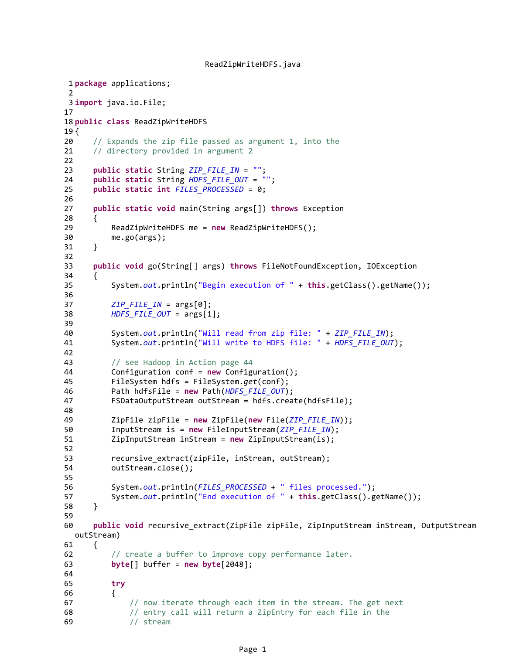```
ReadZipWriteHDFS.java
```

```
1 package applications;
2
3 import java.io.File;
17
18 public class ReadZipWriteHDFS
19 {
20 // Expands the zip file passed as argument 1, into the
21 // directory provided in argument 2
22
23 public static String ZIP_FILE_IN = "";
24 public static String HDFS FILE OUT = "";
25 public static int FILES_PROCESSED = 0;
26
27 public static void main(String args[]) throws Exception
28 {
29 ReadZipWriteHDFS me = new ReadZipWriteHDFS();
30 me.go(args);
31 }
32 
33 public void go(String[] args) throws FileNotFoundException, IOException
34 {
35 System.out.println("Begin execution of " + this.getClass().getName());
36
\mathsf{ZIP\_FILE\_IN} = \mathsf{args[0]};
38 HDFS_FILE_OUT = args[1];
39 
40 System.out.println("Will read from zip file: " + ZIP_FILE_IN);
41 System.out.println("Will write to HDFS file: " + HDFS_FILE_OUT);
42 
43 // see Hadoop in Action page 44
44 Configuration conf = new Configuration();
45 FileSystem hdfs = FileSystem.get(conf);
46 Path hdfsFile = new Path(HDFS_FILE_OUT);
47 FSDataOutputStream outStream = hdfs.create(hdfsFile);
48 
49 ZipFile zipFile = new ZipFile(new File(ZIP FILE IN));
50 InputStream is = new FileInputStream(ZIP FILE IN);
51 ZipInputStream inStream = new ZipInputStream(is);
52 
53 recursive_extract(zipFile, inStream, outStream);
54 outStream.close();
55
56 System.out.println(FILES_PROCESSED + " files processed.");
57 System.out.println("End execution of " + this.getClass().getName());
58 }
59 
60 public void recursive_extract(ZipFile zipFile, ZipInputStream inStream, OutputStream 
  outStream)
61 {
62 // create a buffer to improve copy performance later.
63 byte[] buffer = new byte[2048];
64 
65 try
66 {
67 // now iterate through each item in the stream. The get next
68 // entry call will return a ZipEntry for each file in the
69 // stream
```